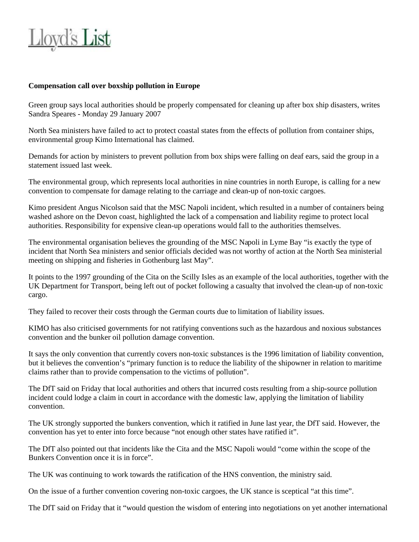

## **Compensation call over boxship pollution in Europe**

Green group says local authorities should be properly compensated for cleaning up after box ship disasters, writes Sandra Speares - Monday 29 January 2007

North Sea ministers have failed to act to protect coastal states from the effects of pollution from container ships, environmental group Kimo International has claimed.

Demands for action by ministers to prevent pollution from box ships were falling on deaf ears, said the group in a statement issued last week.

The environmental group, which represents local authorities in nine countries in north Europe, is calling for a new convention to compensate for damage relating to the carriage and clean-up of non-toxic cargoes.

Kimo president Angus Nicolson said that the MSC Napoli incident, which resulted in a number of containers being washed ashore on the Devon coast, highlighted the lack of a compensation and liability regime to protect local authorities. Responsibility for expensive clean-up operations would fall to the authorities themselves.

The environmental organisation believes the grounding of the MSC Napoli in Lyme Bay "is exactly the type of incident that North Sea ministers and senior officials decided was not worthy of action at the North Sea ministerial meeting on shipping and fisheries in Gothenburg last May".

It points to the 1997 grounding of the Cita on the Scilly Isles as an example of the local authorities, together with the UK Department for Transport, being left out of pocket following a casualty that involved the clean-up of non-toxic cargo.

They failed to recover their costs through the German courts due to limitation of liability issues.

KIMO has also criticised governments for not ratifying conventions such as the hazardous and noxious substances convention and the bunker oil pollution damage convention.

It says the only convention that currently covers non-toxic substances is the 1996 limitation of liability convention, but it believes the convention's "primary function is to reduce the liability of the shipowner in relation to maritime claims rather than to provide compensation to the victims of pollution".

The DfT said on Friday that local authorities and others that incurred costs resulting from a ship-source pollution incident could lodge a claim in court in accordance with the domestic law, applying the limitation of liability convention.

The UK strongly supported the bunkers convention, which it ratified in June last year, the DfT said. However, the convention has yet to enter into force because "not enough other states have ratified it".

The DfT also pointed out that incidents like the Cita and the MSC Napoli would "come within the scope of the Bunkers Convention once it is in force".

The UK was continuing to work towards the ratification of the HNS convention, the ministry said.

On the issue of a further convention covering non-toxic cargoes, the UK stance is sceptical "at this time".

The DfT said on Friday that it "would question the wisdom of entering into negotiations on yet another international